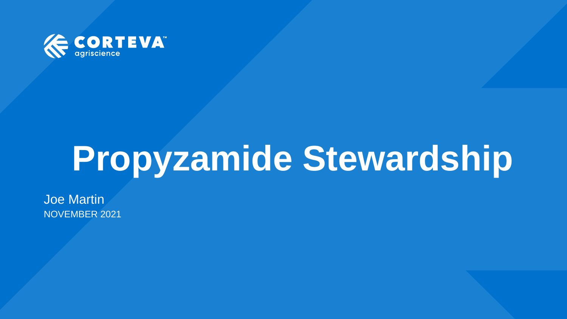

# **Propyzamide Stewardship**

Joe Martin NOVEMBER 2021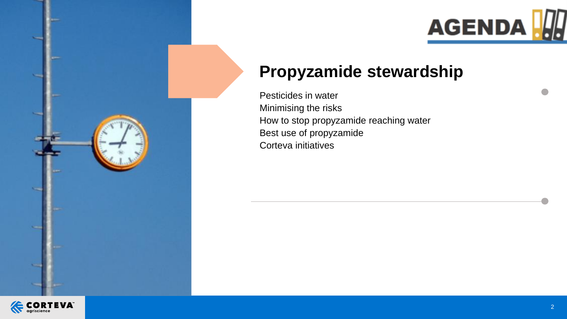

## **Propyzamide stewardship**

Pesticides in water Minimising the risks How to stop propyzamide reaching water Best use of propyzamide Corteva initiatives

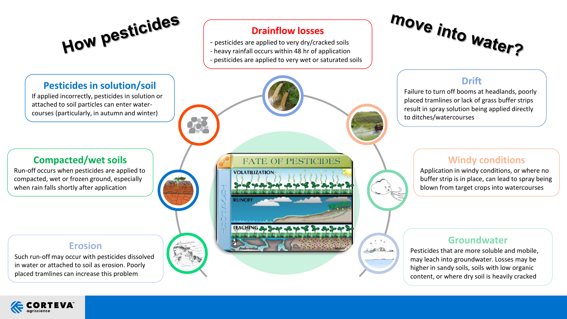How pesticides

**Pesticides in solution/soil** If applied incorrectly, pesticides in solution or attached to soil particles can enter watercourses (particularly, in autumn and winter)

#### **Drainflow losses**

- pesticides are applied to very dry/cracked soils
- heavy rainfall occurs within 48 hr of application
- pesticides are applied to very wet or saturated soils



### **Drift**

Failure to turn off booms at headlands, poorly placed tramlines or lack of grass buffer strips result in spray solution being applied directly to ditches/watercourses

#### **Compacted/wet soils**

Run-off occurs when pesticides are applied to compacted, wet or frozen ground, especially when rain falls shortly after application

**Erosion**

Such run-off may occur with pesticides dissolved in water or attached to soil as erosion. Poorly placed tramlines can increase this problem



#### **Windy conditions**

Application in windy conditions, or where no buffer strip is in place, can lead to spray being blown from target crops into watercourses

#### **Groundwater**

Pesticides that are more soluble and mobile, may leach into groundwater. Losses may be higher in sandy soils, soils with low organic content, or where dry soil is heavily cracked

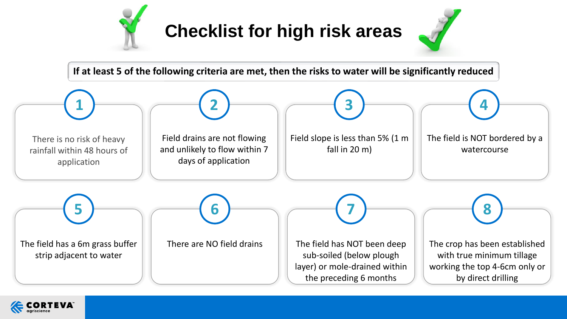

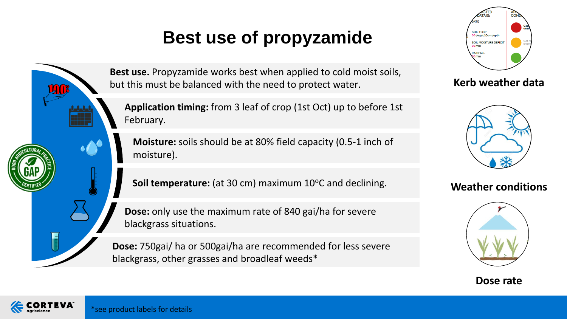## **Best use of propyzamide**



**Application timing:** from 3 leaf of crop (1st Oct) up to before 1st February.

**Moisture:** soils should be at 80% field capacity (0.5-1 inch of moisture).

**Soil temperature:** (at 30 cm) maximum 10°C and declining.

**Dose:** only use the maximum rate of 840 gai/ha for severe blackgrass situations.

**Dose:** 750gai/ ha or 500gai/ha are recommended for less severe blackgrass, other grasses and broadleaf weeds\*



**Kerb weather data**



**Weather conditions**







 $\sum_{n=1}^{\infty}$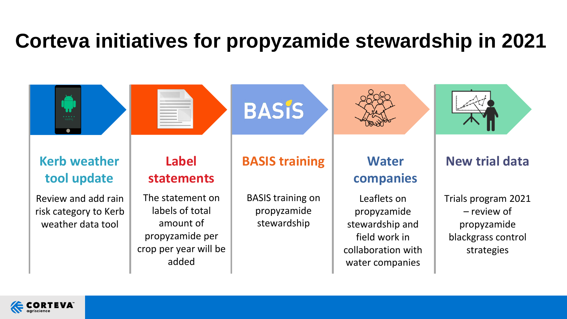## **Corteva initiatives for propyzamide stewardship in 2021**